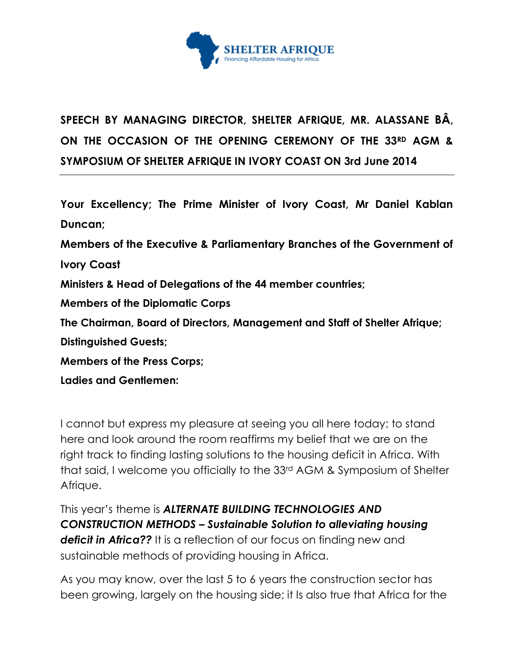

## **SPEECH BY MANAGING DIRECTOR, SHELTER AFRIQUE, MR. ALASSANE BÂ, ON THE OCCASION OF THE OPENING CEREMONY OF THE 33RD AGM & SYMPOSIUM OF SHELTER AFRIQUE IN IVORY COAST ON 3rd June 2014**

**Your Excellency; The Prime Minister of Ivory Coast, Mr Daniel Kablan Duncan;**

**Members of the Executive & Parliamentary Branches of the Government of** 

**Ivory Coast**

**Ministers & Head of Delegations of the 44 member countries;**

**Members of the Diplomatic Corps**

**The Chairman, Board of Directors, Management and Staff of Shelter Afrique;**

**Distinguished Guests;**

**Members of the Press Corps;**

**Ladies and Gentlemen:**

I cannot but express my pleasure at seeing you all here today; to stand here and look around the room reaffirms my belief that we are on the right track to finding lasting solutions to the housing deficit in Africa. With that said, I welcome you officially to the 33rd AGM & Symposium of Shelter Afrique.

This year's theme is *ALTERNATE BUILDING TECHNOLOGIES AND CONSTRUCTION METHODS – Sustainable Solution to alleviating housing deficit in Africa??* It is a reflection of our focus on finding new and sustainable methods of providing housing in Africa.

As you may know, over the last 5 to 6 years the construction sector has been growing, largely on the housing side; it Is also true that Africa for the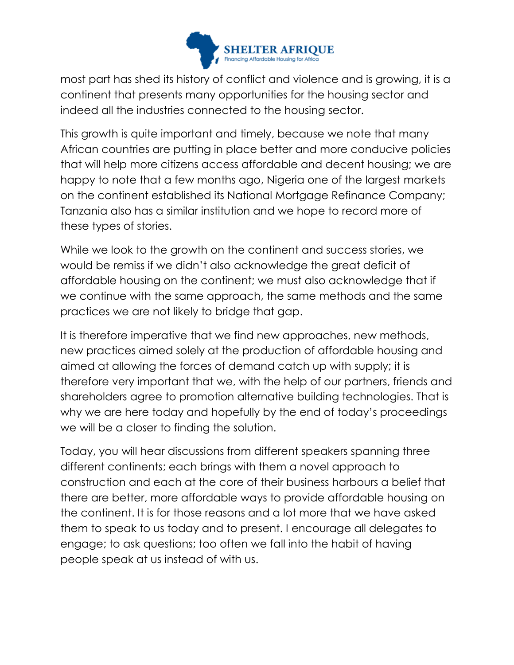

most part has shed its history of conflict and violence and is growing, it is a continent that presents many opportunities for the housing sector and indeed all the industries connected to the housing sector.

This growth is quite important and timely, because we note that many African countries are putting in place better and more conducive policies that will help more citizens access affordable and decent housing; we are happy to note that a few months ago, Nigeria one of the largest markets on the continent established its National Mortgage Refinance Company; Tanzania also has a similar institution and we hope to record more of these types of stories.

While we look to the growth on the continent and success stories, we would be remiss if we didn't also acknowledge the great deficit of affordable housing on the continent; we must also acknowledge that if we continue with the same approach, the same methods and the same practices we are not likely to bridge that gap.

It is therefore imperative that we find new approaches, new methods, new practices aimed solely at the production of affordable housing and aimed at allowing the forces of demand catch up with supply; it is therefore very important that we, with the help of our partners, friends and shareholders agree to promotion alternative building technologies. That is why we are here today and hopefully by the end of today's proceedings we will be a closer to finding the solution.

Today, you will hear discussions from different speakers spanning three different continents; each brings with them a novel approach to construction and each at the core of their business harbours a belief that there are better, more affordable ways to provide affordable housing on the continent. It is for those reasons and a lot more that we have asked them to speak to us today and to present. I encourage all delegates to engage; to ask questions; too often we fall into the habit of having people speak at us instead of with us.